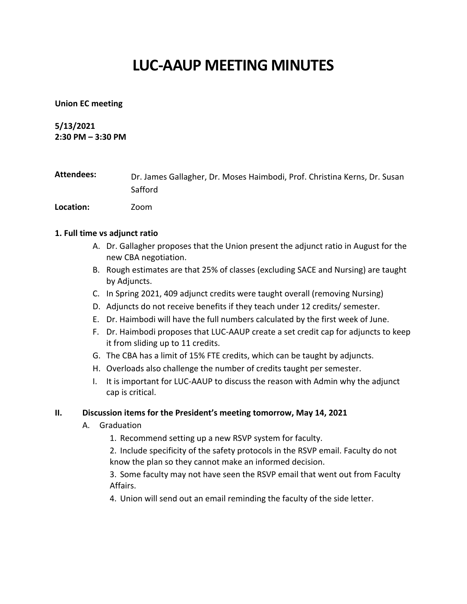# **LUC-AAUP MEETING MINUTES**

# **Union EC meeting**

# **5/13/2021**

**2:30 PM – 3:30 PM**

| Attendees:       | Dr. James Gallagher, Dr. Moses Haimbodi, Prof. Christina Kerns, Dr. Susan |
|------------------|---------------------------------------------------------------------------|
|                  | Safford                                                                   |
| <b>Location:</b> | Zoom                                                                      |

# **1. Full time vs adjunct ratio**

- A. Dr. Gallagher proposes that the Union present the adjunct ratio in August for the new CBA negotiation.
- B. Rough estimates are that 25% of classes (excluding SACE and Nursing) are taught by Adjuncts.
- C. In Spring 2021, 409 adjunct credits were taught overall (removing Nursing)
- D. Adjuncts do not receive benefits if they teach under 12 credits/ semester.
- E. Dr. Haimbodi will have the full numbers calculated by the first week of June.
- F. Dr. Haimbodi proposes that LUC-AAUP create a set credit cap for adjuncts to keep it from sliding up to 11 credits.
- G. The CBA has a limit of 15% FTE credits, which can be taught by adjuncts.
- H. Overloads also challenge the number of credits taught per semester.
- I. It is important for LUC-AAUP to discuss the reason with Admin why the adjunct cap is critical.

# **II. Discussion items for the President's meeting tomorrow, May 14, 2021**

- A. Graduation
	- 1. Recommend setting up a new RSVP system for faculty.
	- 2. Include specificity of the safety protocols in the RSVP email. Faculty do not know the plan so they cannot make an informed decision.
	- 3. Some faculty may not have seen the RSVP email that went out from Faculty Affairs.
	- 4. Union will send out an email reminding the faculty of the side letter.